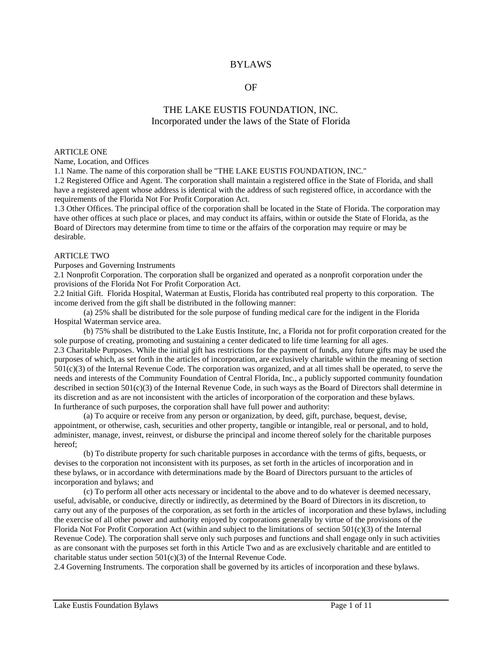# BYLAWS

## OF

# THE LAKE EUSTIS FOUNDATION, INC. Incorporated under the laws of the State of Florida

#### ARTICLE ONE

Name, Location, and Offices

1.1 Name. The name of this corporation shall be "THE LAKE EUSTIS FOUNDATION, INC."

1.2 Registered Office and Agent. The corporation shall maintain a registered office in the State of Florida, and shall have a registered agent whose address is identical with the address of such registered office, in accordance with the requirements of the Florida Not For Profit Corporation Act.

1.3 Other Offices. The principal office of the corporation shall be located in the State of Florida. The corporation may have other offices at such place or places, and may conduct its affairs, within or outside the State of Florida, as the Board of Directors may determine from time to time or the affairs of the corporation may require or may be desirable.

### ARTICLE TWO

Purposes and Governing Instruments

2.1 Nonprofit Corporation. The corporation shall be organized and operated as a nonprofit corporation under the provisions of the Florida Not For Profit Corporation Act.

2.2 Initial Gift. Florida Hospital, Waterman at Eustis, Florida has contributed real property to this corporation. The income derived from the gift shall be distributed in the following manner:

(a) 25% shall be distributed for the sole purpose of funding medical care for the indigent in the Florida Hospital Waterman service area.

(b) 75% shall be distributed to the Lake Eustis Institute, Inc, a Florida not for profit corporation created for the sole purpose of creating, promoting and sustaining a center dedicated to life time learning for all ages.

2.3 Charitable Purposes. While the initial gift has restrictions for the payment of funds, any future gifts may be used the purposes of which, as set forth in the articles of incorporation, are exclusively charitable within the meaning of section 501(c)(3) of the Internal Revenue Code. The corporation was organized, and at all times shall be operated, to serve the needs and interests of the Community Foundation of Central Florida, Inc., a publicly supported community foundation described in section 501(c)(3) of the Internal Revenue Code, in such ways as the Board of Directors shall determine in its discretion and as are not inconsistent with the articles of incorporation of the corporation and these bylaws. In furtherance of such purposes, the corporation shall have full power and authority:

(a) To acquire or receive from any person or organization, by deed, gift, purchase, bequest, devise, appointment, or otherwise, cash, securities and other property, tangible or intangible, real or personal, and to hold, administer, manage, invest, reinvest, or disburse the principal and income thereof solely for the charitable purposes hereof;

(b) To distribute property for such charitable purposes in accordance with the terms of gifts, bequests, or devises to the corporation not inconsistent with its purposes, as set forth in the articles of incorporation and in these bylaws, or in accordance with determinations made by the Board of Directors pursuant to the articles of incorporation and bylaws; and

(c) To perform all other acts necessary or incidental to the above and to do whatever is deemed necessary, useful, advisable, or conducive, directly or indirectly, as determined by the Board of Directors in its discretion, to carry out any of the purposes of the corporation, as set forth in the articles of incorporation and these bylaws, including the exercise of all other power and authority enjoyed by corporations generally by virtue of the provisions of the Florida Not For Profit Corporation Act (within and subject to the limitations of section  $501(c)(3)$  of the Internal Revenue Code). The corporation shall serve only such purposes and functions and shall engage only in such activities as are consonant with the purposes set forth in this Article Two and as are exclusively charitable and are entitled to charitable status under section 501(c)(3) of the Internal Revenue Code.

2.4 Governing Instruments. The corporation shall be governed by its articles of incorporation and these bylaws.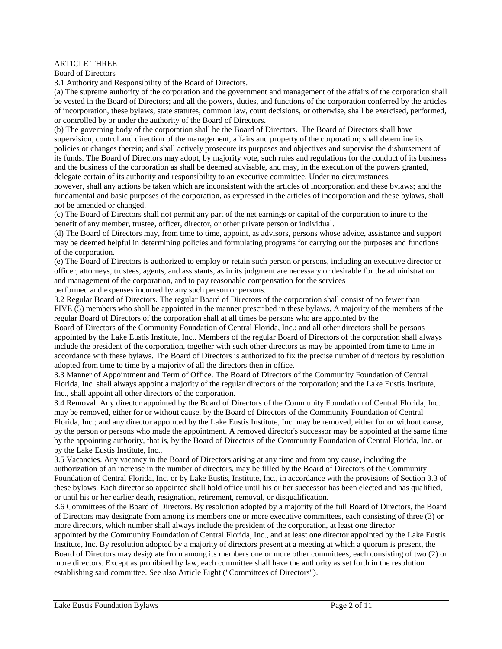## ARTICLE THREE

Board of Directors

3.1 Authority and Responsibility of the Board of Directors.

(a) The supreme authority of the corporation and the government and management of the affairs of the corporation shall be vested in the Board of Directors; and all the powers, duties, and functions of the corporation conferred by the articles of incorporation, these bylaws, state statutes, common law, court decisions, or otherwise, shall be exercised, performed, or controlled by or under the authority of the Board of Directors.

(b) The governing body of the corporation shall be the Board of Directors. The Board of Directors shall have supervision, control and direction of the management, affairs and property of the corporation; shall determine its policies or changes therein; and shall actively prosecute its purposes and objectives and supervise the disbursement of its funds. The Board of Directors may adopt, by majority vote, such rules and regulations for the conduct of its business and the business of the corporation as shall be deemed advisable, and may, in the execution of the powers granted, delegate certain of its authority and responsibility to an executive committee. Under no circumstances,

however, shall any actions be taken which are inconsistent with the articles of incorporation and these bylaws; and the fundamental and basic purposes of the corporation, as expressed in the articles of incorporation and these bylaws, shall not be amended or changed.

(c) The Board of Directors shall not permit any part of the net earnings or capital of the corporation to inure to the benefit of any member, trustee, officer, director, or other private person or individual.

(d) The Board of Directors may, from time to time, appoint, as advisors, persons whose advice, assistance and support may be deemed helpful in determining policies and formulating programs for carrying out the purposes and functions of the corporation.

(e) The Board of Directors is authorized to employ or retain such person or persons, including an executive director or officer, attorneys, trustees, agents, and assistants, as in its judgment are necessary or desirable for the administration and management of the corporation, and to pay reasonable compensation for the services

performed and expenses incurred by any such person or persons.

3.2 Regular Board of Directors. The regular Board of Directors of the corporation shall consist of no fewer than FIVE (5) members who shall be appointed in the manner prescribed in these bylaws. A majority of the members of the regular Board of Directors of the corporation shall at all times be persons who are appointed by the

Board of Directors of the Community Foundation of Central Florida, Inc.; and all other directors shall be persons appointed by the Lake Eustis Institute, Inc.. Members of the regular Board of Directors of the corporation shall always include the president of the corporation, together with such other directors as may be appointed from time to time in accordance with these bylaws. The Board of Directors is authorized to fix the precise number of directors by resolution adopted from time to time by a majority of all the directors then in office.

3.3 Manner of Appointment and Term of Office. The Board of Directors of the Community Foundation of Central Florida, Inc. shall always appoint a majority of the regular directors of the corporation; and the Lake Eustis Institute, Inc., shall appoint all other directors of the corporation.

3.4 Removal. Any director appointed by the Board of Directors of the Community Foundation of Central Florida, Inc. may be removed, either for or without cause, by the Board of Directors of the Community Foundation of Central Florida, Inc.; and any director appointed by the Lake Eustis Institute, Inc. may be removed, either for or without cause, by the person or persons who made the appointment. A removed director's successor may be appointed at the same time by the appointing authority, that is, by the Board of Directors of the Community Foundation of Central Florida, Inc. or by the Lake Eustis Institute, Inc..

3.5 Vacancies. Any vacancy in the Board of Directors arising at any time and from any cause, including the authorization of an increase in the number of directors, may be filled by the Board of Directors of the Community Foundation of Central Florida, Inc. or by Lake Eustis, Institute, Inc., in accordance with the provisions of Section 3.3 of these bylaws. Each director so appointed shall hold office until his or her successor has been elected and has qualified, or until his or her earlier death, resignation, retirement, removal, or disqualification.

3.6 Committees of the Board of Directors. By resolution adopted by a majority of the full Board of Directors, the Board of Directors may designate from among its members one or more executive committees, each consisting of three (3) or more directors, which number shall always include the president of the corporation, at least one director

appointed by the Community Foundation of Central Florida, Inc., and at least one director appointed by the Lake Eustis Institute, Inc. By resolution adopted by a majority of directors present at a meeting at which a quorum is present, the Board of Directors may designate from among its members one or more other committees, each consisting of two (2) or more directors. Except as prohibited by law, each committee shall have the authority as set forth in the resolution establishing said committee. See also Article Eight ("Committees of Directors").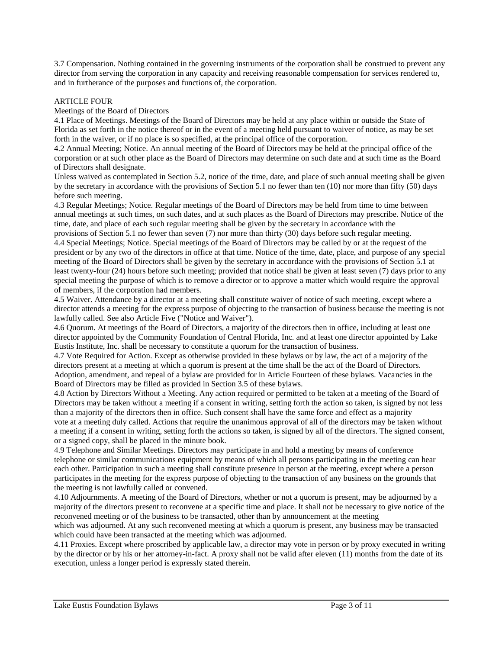3.7 Compensation. Nothing contained in the governing instruments of the corporation shall be construed to prevent any director from serving the corporation in any capacity and receiving reasonable compensation for services rendered to, and in furtherance of the purposes and functions of, the corporation.

# ARTICLE FOUR

#### Meetings of the Board of Directors

4.1 Place of Meetings. Meetings of the Board of Directors may be held at any place within or outside the State of Florida as set forth in the notice thereof or in the event of a meeting held pursuant to waiver of notice, as may be set forth in the waiver, or if no place is so specified, at the principal office of the corporation.

4.2 Annual Meeting; Notice. An annual meeting of the Board of Directors may be held at the principal office of the corporation or at such other place as the Board of Directors may determine on such date and at such time as the Board of Directors shall designate.

Unless waived as contemplated in Section 5.2, notice of the time, date, and place of such annual meeting shall be given by the secretary in accordance with the provisions of Section 5.1 no fewer than ten (10) nor more than fifty (50) days before such meeting.

4.3 Regular Meetings; Notice. Regular meetings of the Board of Directors may be held from time to time between annual meetings at such times, on such dates, and at such places as the Board of Directors may prescribe. Notice of the time, date, and place of each such regular meeting shall be given by the secretary in accordance with the

provisions of Section 5.1 no fewer than seven (7) nor more than thirty (30) days before such regular meeting. 4.4 Special Meetings; Notice. Special meetings of the Board of Directors may be called by or at the request of the president or by any two of the directors in office at that time. Notice of the time, date, place, and purpose of any special meeting of the Board of Directors shall be given by the secretary in accordance with the provisions of Section 5.1 at least twenty-four (24) hours before such meeting; provided that notice shall be given at least seven (7) days prior to any special meeting the purpose of which is to remove a director or to approve a matter which would require the approval of members, if the corporation had members.

4.5 Waiver. Attendance by a director at a meeting shall constitute waiver of notice of such meeting, except where a director attends a meeting for the express purpose of objecting to the transaction of business because the meeting is not lawfully called. See also Article Five ("Notice and Waiver").

4.6 Quorum. At meetings of the Board of Directors, a majority of the directors then in office, including at least one director appointed by the Community Foundation of Central Florida, Inc. and at least one director appointed by Lake Eustis Institute, Inc. shall be necessary to constitute a quorum for the transaction of business.

4.7 Vote Required for Action. Except as otherwise provided in these bylaws or by law, the act of a majority of the directors present at a meeting at which a quorum is present at the time shall be the act of the Board of Directors. Adoption, amendment, and repeal of a bylaw are provided for in Article Fourteen of these bylaws. Vacancies in the Board of Directors may be filled as provided in Section 3.5 of these bylaws.

4.8 Action by Directors Without a Meeting. Any action required or permitted to be taken at a meeting of the Board of Directors may be taken without a meeting if a consent in writing, setting forth the action so taken, is signed by not less than a majority of the directors then in office. Such consent shall have the same force and effect as a majority vote at a meeting duly called. Actions that require the unanimous approval of all of the directors may be taken without a meeting if a consent in writing, setting forth the actions so taken, is signed by all of the directors. The signed consent, or a signed copy, shall be placed in the minute book.

4.9 Telephone and Similar Meetings. Directors may participate in and hold a meeting by means of conference telephone or similar communications equipment by means of which all persons participating in the meeting can hear each other. Participation in such a meeting shall constitute presence in person at the meeting, except where a person participates in the meeting for the express purpose of objecting to the transaction of any business on the grounds that the meeting is not lawfully called or convened.

4.10 Adjournments. A meeting of the Board of Directors, whether or not a quorum is present, may be adjourned by a majority of the directors present to reconvene at a specific time and place. It shall not be necessary to give notice of the reconvened meeting or of the business to be transacted, other than by announcement at the meeting

which was adjourned. At any such reconvened meeting at which a quorum is present, any business may be transacted which could have been transacted at the meeting which was adjourned.

4.11 Proxies. Except where proscribed by applicable law, a director may vote in person or by proxy executed in writing by the director or by his or her attorney-in-fact. A proxy shall not be valid after eleven (11) months from the date of its execution, unless a longer period is expressly stated therein.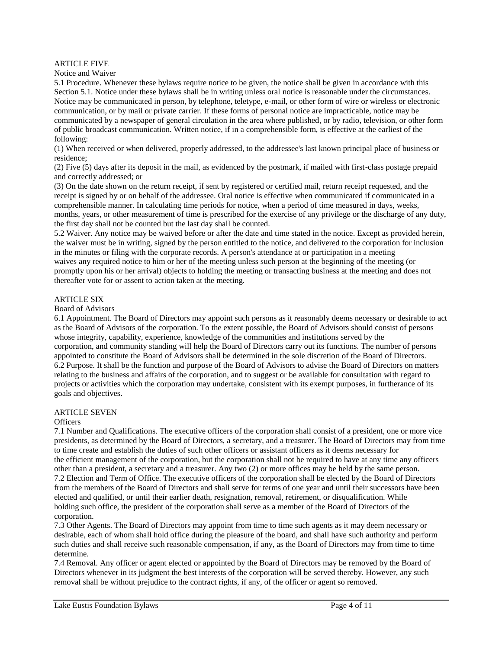# ARTICLE FIVE

Notice and Waiver

5.1 Procedure. Whenever these bylaws require notice to be given, the notice shall be given in accordance with this Section 5.1. Notice under these bylaws shall be in writing unless oral notice is reasonable under the circumstances. Notice may be communicated in person, by telephone, teletype, e-mail, or other form of wire or wireless or electronic communication, or by mail or private carrier. If these forms of personal notice are impracticable, notice may be communicated by a newspaper of general circulation in the area where published, or by radio, television, or other form of public broadcast communication. Written notice, if in a comprehensible form, is effective at the earliest of the following:

(1) When received or when delivered, properly addressed, to the addressee's last known principal place of business or residence;

(2) Five (5) days after its deposit in the mail, as evidenced by the postmark, if mailed with first-class postage prepaid and correctly addressed; or

(3) On the date shown on the return receipt, if sent by registered or certified mail, return receipt requested, and the receipt is signed by or on behalf of the addressee. Oral notice is effective when communicated if communicated in a comprehensible manner. In calculating time periods for notice, when a period of time measured in days, weeks, months, years, or other measurement of time is prescribed for the exercise of any privilege or the discharge of any duty, the first day shall not be counted but the last day shall be counted.

5.2 Waiver. Any notice may be waived before or after the date and time stated in the notice. Except as provided herein, the waiver must be in writing, signed by the person entitled to the notice, and delivered to the corporation for inclusion in the minutes or filing with the corporate records. A person's attendance at or participation in a meeting waives any required notice to him or her of the meeting unless such person at the beginning of the meeting (or promptly upon his or her arrival) objects to holding the meeting or transacting business at the meeting and does not thereafter vote for or assent to action taken at the meeting.

## ARTICLE SIX

## Board of Advisors

6.1 Appointment. The Board of Directors may appoint such persons as it reasonably deems necessary or desirable to act as the Board of Advisors of the corporation. To the extent possible, the Board of Advisors should consist of persons whose integrity, capability, experience, knowledge of the communities and institutions served by the corporation, and community standing will help the Board of Directors carry out its functions. The number of persons appointed to constitute the Board of Advisors shall be determined in the sole discretion of the Board of Directors. 6.2 Purpose. It shall be the function and purpose of the Board of Advisors to advise the Board of Directors on matters relating to the business and affairs of the corporation, and to suggest or be available for consultation with regard to projects or activities which the corporation may undertake, consistent with its exempt purposes, in furtherance of its goals and objectives.

## ARTICLE SEVEN

## **Officers**

7.1 Number and Qualifications. The executive officers of the corporation shall consist of a president, one or more vice presidents, as determined by the Board of Directors, a secretary, and a treasurer. The Board of Directors may from time to time create and establish the duties of such other officers or assistant officers as it deems necessary for the efficient management of the corporation, but the corporation shall not be required to have at any time any officers other than a president, a secretary and a treasurer. Any two (2) or more offices may be held by the same person. 7.2 Election and Term of Office. The executive officers of the corporation shall be elected by the Board of Directors from the members of the Board of Directors and shall serve for terms of one year and until their successors have been elected and qualified, or until their earlier death, resignation, removal, retirement, or disqualification. While holding such office, the president of the corporation shall serve as a member of the Board of Directors of the corporation.

7.3 Other Agents. The Board of Directors may appoint from time to time such agents as it may deem necessary or desirable, each of whom shall hold office during the pleasure of the board, and shall have such authority and perform such duties and shall receive such reasonable compensation, if any, as the Board of Directors may from time to time determine.

7.4 Removal. Any officer or agent elected or appointed by the Board of Directors may be removed by the Board of Directors whenever in its judgment the best interests of the corporation will be served thereby. However, any such removal shall be without prejudice to the contract rights, if any, of the officer or agent so removed.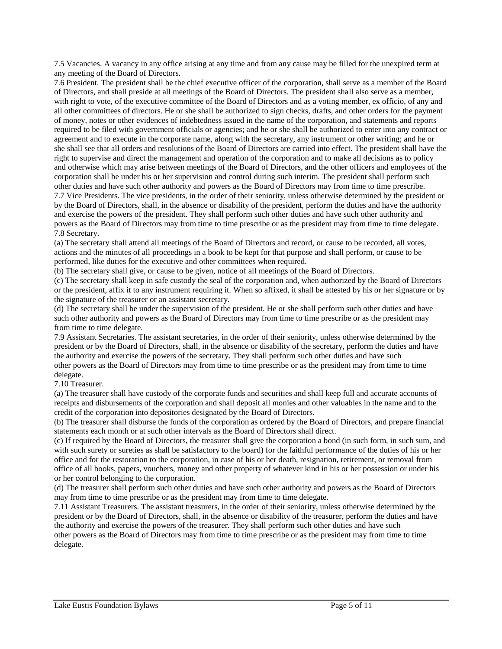7.5 Vacancies. A vacancy in any office arising at any time and from any cause may be filled for the unexpired term at any meeting of the Board of Directors.

7.6 President. The president shall be the chief executive officer of the corporation, shall serve as a member of the Board of Directors, and shall preside at all meetings of the Board of Directors. The president shall also serve as a member, with right to vote, of the executive committee of the Board of Directors and as a voting member, ex officio, of any and all other committees of directors. He or she shall be authorized to sign checks, drafts, and other orders for the payment of money, notes or other evidences of indebtedness issued in the name of the corporation, and statements and reports required to be filed with government officials or agencies; and he or she shall be authorized to enter into any contract or agreement and to execute in the corporate name, along with the secretary, any instrument or other writing; and he or she shall see that all orders and resolutions of the Board of Directors are carried into effect. The president shall have the right to supervise and direct the management and operation of the corporation and to make all decisions as to policy and otherwise which may arise between meetings of the Board of Directors, and the other officers and employees of the corporation shall be under his or her supervision and control during such interim. The president shall perform such other duties and have such other authority and powers as the Board of Directors may from time to time prescribe. 7.7 Vice Presidents. The vice presidents, in the order of their seniority, unless otherwise determined by the president or by the Board of Directors, shall, in the absence or disability of the president, perform the duties and have the authority and exercise the powers of the president. They shall perform such other duties and have such other authority and powers as the Board of Directors may from time to time prescribe or as the president may from time to time delegate. 7.8 Secretary.

(a) The secretary shall attend all meetings of the Board of Directors and record, or cause to be recorded, all votes, actions and the minutes of all proceedings in a book to be kept for that purpose and shall perform, or cause to be performed, like duties for the executive and other committees when required.

(b) The secretary shall give, or cause to be given, notice of all meetings of the Board of Directors.

(c) The secretary shall keep in safe custody the seal of the corporation and, when authorized by the Board of Directors or the president, affix it to any instrument requiring it. When so affixed, it shall be attested by his or her signature or by the signature of the treasurer or an assistant secretary.

(d) The secretary shall be under the supervision of the president. He or she shall perform such other duties and have such other authority and powers as the Board of Directors may from time to time prescribe or as the president may from time to time delegate.

7.9 Assistant Secretaries. The assistant secretaries, in the order of their seniority, unless otherwise determined by the president or by the Board of Directors, shall, in the absence or disability of the secretary, perform the duties and have the authority and exercise the powers of the secretary. They shall perform such other duties and have such other powers as the Board of Directors may from time to time prescribe or as the president may from time to time delegate.

7.10 Treasurer.

(a) The treasurer shall have custody of the corporate funds and securities and shall keep full and accurate accounts of receipts and disbursements of the corporation and shall deposit all monies and other valuables in the name and to the credit of the corporation into depositories designated by the Board of Directors.

(b) The treasurer shall disburse the funds of the corporation as ordered by the Board of Directors, and prepare financial statements each month or at such other intervals as the Board of Directors shall direct.

(c) If required by the Board of Directors, the treasurer shall give the corporation a bond (in such form, in such sum, and with such surety or sureties as shall be satisfactory to the board) for the faithful performance of the duties of his or her office and for the restoration to the corporation, in case of his or her death, resignation, retirement, or removal from office of all books, papers, vouchers, money and other property of whatever kind in his or her possession or under his or her control belonging to the corporation.

(d) The treasurer shall perform such other duties and have such other authority and powers as the Board of Directors may from time to time prescribe or as the president may from time to time delegate.

7.11 Assistant Treasurers. The assistant treasurers, in the order of their seniority, unless otherwise determined by the president or by the Board of Directors, shall, in the absence or disability of the treasurer, perform the duties and have the authority and exercise the powers of the treasurer. They shall perform such other duties and have such other powers as the Board of Directors may from time to time prescribe or as the president may from time to time delegate.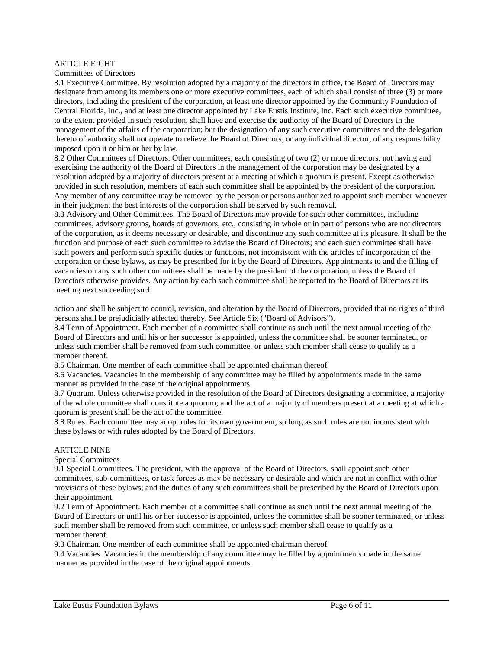## ARTICLE EIGHT

#### Committees of Directors

8.1 Executive Committee. By resolution adopted by a majority of the directors in office, the Board of Directors may designate from among its members one or more executive committees, each of which shall consist of three (3) or more directors, including the president of the corporation, at least one director appointed by the Community Foundation of Central Florida, Inc., and at least one director appointed by Lake Eustis Institute, Inc. Each such executive committee, to the extent provided in such resolution, shall have and exercise the authority of the Board of Directors in the management of the affairs of the corporation; but the designation of any such executive committees and the delegation thereto of authority shall not operate to relieve the Board of Directors, or any individual director, of any responsibility imposed upon it or him or her by law.

8.2 Other Committees of Directors. Other committees, each consisting of two (2) or more directors, not having and exercising the authority of the Board of Directors in the management of the corporation may be designated by a resolution adopted by a majority of directors present at a meeting at which a quorum is present. Except as otherwise provided in such resolution, members of each such committee shall be appointed by the president of the corporation. Any member of any committee may be removed by the person or persons authorized to appoint such member whenever in their judgment the best interests of the corporation shall be served by such removal.

8.3 Advisory and Other Committees. The Board of Directors may provide for such other committees, including committees, advisory groups, boards of governors, etc., consisting in whole or in part of persons who are not directors of the corporation, as it deems necessary or desirable, and discontinue any such committee at its pleasure. It shall be the function and purpose of each such committee to advise the Board of Directors; and each such committee shall have such powers and perform such specific duties or functions, not inconsistent with the articles of incorporation of the corporation or these bylaws, as may be prescribed for it by the Board of Directors. Appointments to and the filling of vacancies on any such other committees shall be made by the president of the corporation, unless the Board of Directors otherwise provides. Any action by each such committee shall be reported to the Board of Directors at its meeting next succeeding such

action and shall be subject to control, revision, and alteration by the Board of Directors, provided that no rights of third persons shall be prejudicially affected thereby. See Article Six ("Board of Advisors").

8.4 Term of Appointment. Each member of a committee shall continue as such until the next annual meeting of the Board of Directors and until his or her successor is appointed, unless the committee shall be sooner terminated, or unless such member shall be removed from such committee, or unless such member shall cease to qualify as a member thereof.

8.5 Chairman. One member of each committee shall be appointed chairman thereof.

8.6 Vacancies. Vacancies in the membership of any committee may be filled by appointments made in the same manner as provided in the case of the original appointments.

8.7 Quorum. Unless otherwise provided in the resolution of the Board of Directors designating a committee, a majority of the whole committee shall constitute a quorum; and the act of a majority of members present at a meeting at which a quorum is present shall be the act of the committee.

8.8 Rules. Each committee may adopt rules for its own government, so long as such rules are not inconsistent with these bylaws or with rules adopted by the Board of Directors.

## ARTICLE NINE

Special Committees

9.1 Special Committees. The president, with the approval of the Board of Directors, shall appoint such other committees, sub-committees, or task forces as may be necessary or desirable and which are not in conflict with other provisions of these bylaws; and the duties of any such committees shall be prescribed by the Board of Directors upon their appointment.

9.2 Term of Appointment. Each member of a committee shall continue as such until the next annual meeting of the Board of Directors or until his or her successor is appointed, unless the committee shall be sooner terminated, or unless such member shall be removed from such committee, or unless such member shall cease to qualify as a member thereof.

9.3 Chairman. One member of each committee shall be appointed chairman thereof.

9.4 Vacancies. Vacancies in the membership of any committee may be filled by appointments made in the same manner as provided in the case of the original appointments.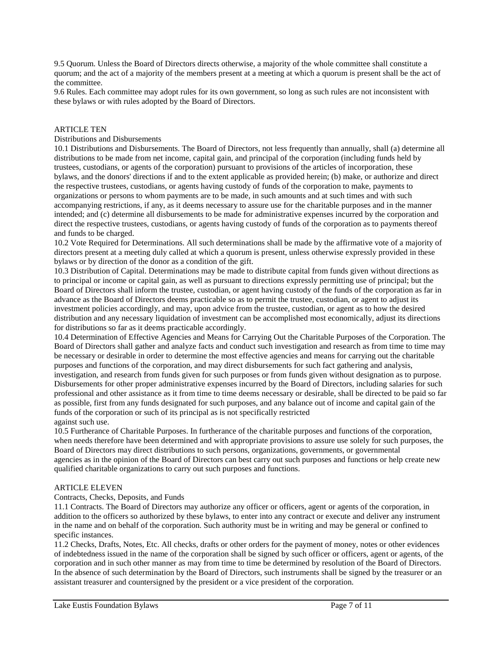9.5 Quorum. Unless the Board of Directors directs otherwise, a majority of the whole committee shall constitute a quorum; and the act of a majority of the members present at a meeting at which a quorum is present shall be the act of the committee.

9.6 Rules. Each committee may adopt rules for its own government, so long as such rules are not inconsistent with these bylaws or with rules adopted by the Board of Directors.

## ARTICLE TEN

### Distributions and Disbursements

10.1 Distributions and Disbursements. The Board of Directors, not less frequently than annually, shall (a) determine all distributions to be made from net income, capital gain, and principal of the corporation (including funds held by trustees, custodians, or agents of the corporation) pursuant to provisions of the articles of incorporation, these bylaws, and the donors' directions if and to the extent applicable as provided herein; (b) make, or authorize and direct the respective trustees, custodians, or agents having custody of funds of the corporation to make, payments to organizations or persons to whom payments are to be made, in such amounts and at such times and with such accompanying restrictions, if any, as it deems necessary to assure use for the charitable purposes and in the manner intended; and (c) determine all disbursements to be made for administrative expenses incurred by the corporation and direct the respective trustees, custodians, or agents having custody of funds of the corporation as to payments thereof and funds to be charged.

10.2 Vote Required for Determinations. All such determinations shall be made by the affirmative vote of a majority of directors present at a meeting duly called at which a quorum is present, unless otherwise expressly provided in these bylaws or by direction of the donor as a condition of the gift.

10.3 Distribution of Capital. Determinations may be made to distribute capital from funds given without directions as to principal or income or capital gain, as well as pursuant to directions expressly permitting use of principal; but the Board of Directors shall inform the trustee, custodian, or agent having custody of the funds of the corporation as far in advance as the Board of Directors deems practicable so as to permit the trustee, custodian, or agent to adjust its investment policies accordingly, and may, upon advice from the trustee, custodian, or agent as to how the desired distribution and any necessary liquidation of investment can be accomplished most economically, adjust its directions for distributions so far as it deems practicable accordingly.

10.4 Determination of Effective Agencies and Means for Carrying Out the Charitable Purposes of the Corporation. The Board of Directors shall gather and analyze facts and conduct such investigation and research as from time to time may be necessary or desirable in order to determine the most effective agencies and means for carrying out the charitable purposes and functions of the corporation, and may direct disbursements for such fact gathering and analysis, investigation, and research from funds given for such purposes or from funds given without designation as to purpose. Disbursements for other proper administrative expenses incurred by the Board of Directors, including salaries for such professional and other assistance as it from time to time deems necessary or desirable, shall be directed to be paid so far as possible, first from any funds designated for such purposes, and any balance out of income and capital gain of the funds of the corporation or such of its principal as is not specifically restricted against such use.

10.5 Furtherance of Charitable Purposes. In furtherance of the charitable purposes and functions of the corporation, when needs therefore have been determined and with appropriate provisions to assure use solely for such purposes, the Board of Directors may direct distributions to such persons, organizations, governments, or governmental agencies as in the opinion of the Board of Directors can best carry out such purposes and functions or help create new qualified charitable organizations to carry out such purposes and functions.

## ARTICLE ELEVEN

#### Contracts, Checks, Deposits, and Funds

11.1 Contracts. The Board of Directors may authorize any officer or officers, agent or agents of the corporation, in addition to the officers so authorized by these bylaws, to enter into any contract or execute and deliver any instrument in the name and on behalf of the corporation. Such authority must be in writing and may be general or confined to specific instances.

11.2 Checks, Drafts, Notes, Etc. All checks, drafts or other orders for the payment of money, notes or other evidences of indebtedness issued in the name of the corporation shall be signed by such officer or officers, agent or agents, of the corporation and in such other manner as may from time to time be determined by resolution of the Board of Directors. In the absence of such determination by the Board of Directors, such instruments shall be signed by the treasurer or an assistant treasurer and countersigned by the president or a vice president of the corporation.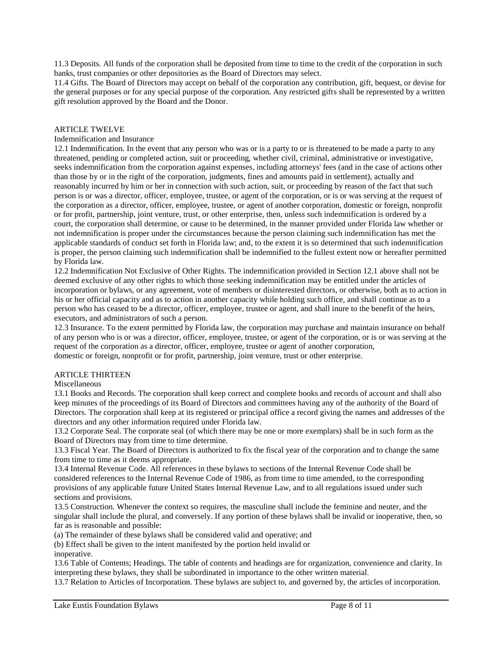11.3 Deposits. All funds of the corporation shall be deposited from time to time to the credit of the corporation in such banks, trust companies or other depositories as the Board of Directors may select.

11.4 Gifts. The Board of Directors may accept on behalf of the corporation any contribution, gift, bequest, or devise for the general purposes or for any special purpose of the corporation. Any restricted gifts shall be represented by a written gift resolution approved by the Board and the Donor.

#### ARTICLE TWELVE

## Indemnification and Insurance

12.1 Indemnification. In the event that any person who was or is a party to or is threatened to be made a party to any threatened, pending or completed action, suit or proceeding, whether civil, criminal, administrative or investigative, seeks indemnification from the corporation against expenses, including attorneys' fees (and in the case of actions other than those by or in the right of the corporation, judgments, fines and amounts paid in settlement), actually and reasonably incurred by him or her in connection with such action, suit, or proceeding by reason of the fact that such person is or was a director, officer, employee, trustee, or agent of the corporation, or is or was serving at the request of the corporation as a director, officer, employee, trustee, or agent of another corporation, domestic or foreign, nonprofit or for profit, partnership, joint venture, trust, or other enterprise, then, unless such indemnification is ordered by a court, the corporation shall determine, or cause to be determined, in the manner provided under Florida law whether or not indemnification is proper under the circumstances because the person claiming such indemnification has met the applicable standards of conduct set forth in Florida law; and, to the extent it is so determined that such indemnification is proper, the person claiming such indemnification shall be indemnified to the fullest extent now or hereafter permitted by Florida law.

12.2 Indemnification Not Exclusive of Other Rights. The indemnification provided in Section 12.1 above shall not be deemed exclusive of any other rights to which those seeking indemnification may be entitled under the articles of incorporation or bylaws, or any agreement, vote of members or disinterested directors, or otherwise, both as to action in his or her official capacity and as to action in another capacity while holding such office, and shall continue as to a person who has ceased to be a director, officer, employee, trustee or agent, and shall inure to the benefit of the heirs, executors, and administrators of such a person.

12.3 Insurance. To the extent permitted by Florida law, the corporation may purchase and maintain insurance on behalf of any person who is or was a director, officer, employee, trustee, or agent of the corporation, or is or was serving at the request of the corporation as a director, officer, employee, trustee or agent of another corporation, domestic or foreign, nonprofit or for profit, partnership, joint venture, trust or other enterprise.

#### ARTICLE THIRTEEN

#### Miscellaneous

13.1 Books and Records. The corporation shall keep correct and complete books and records of account and shall also keep minutes of the proceedings of its Board of Directors and committees having any of the authority of the Board of Directors. The corporation shall keep at its registered or principal office a record giving the names and addresses of the directors and any other information required under Florida law.

13.2 Corporate Seal. The corporate seal (of which there may be one or more exemplars) shall be in such form as the Board of Directors may from time to time determine.

13.3 Fiscal Year. The Board of Directors is authorized to fix the fiscal year of the corporation and to change the same from time to time as it deems appropriate.

13.4 Internal Revenue Code. All references in these bylaws to sections of the Internal Revenue Code shall be considered references to the Internal Revenue Code of 1986, as from time to time amended, to the corresponding provisions of any applicable future United States Internal Revenue Law, and to all regulations issued under such sections and provisions.

13.5 Construction. Whenever the context so requires, the masculine shall include the feminine and neuter, and the singular shall include the plural, and conversely. If any portion of these bylaws shall be invalid or inoperative, then, so far as is reasonable and possible:

(a) The remainder of these bylaws shall be considered valid and operative; and

(b) Effect shall be given to the intent manifested by the portion held invalid or inoperative.

13.6 Table of Contents; Headings. The table of contents and headings are for organization, convenience and clarity. In interpreting these bylaws, they shall be subordinated in importance to the other written material.

13.7 Relation to Articles of Incorporation. These bylaws are subject to, and governed by, the articles of incorporation.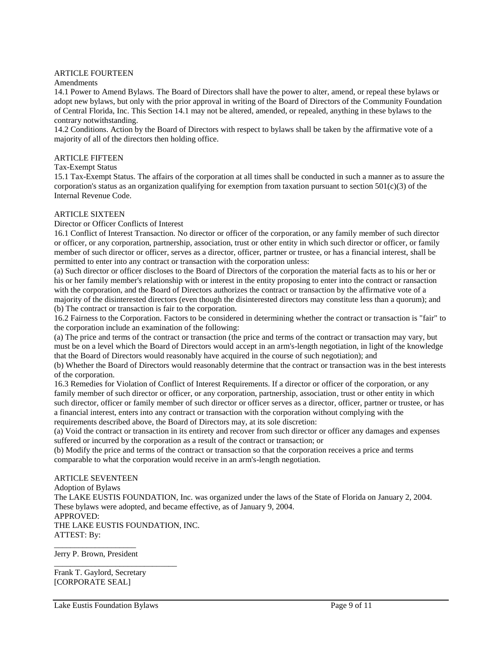#### ARTICLE FOURTEEN

Amendments

14.1 Power to Amend Bylaws. The Board of Directors shall have the power to alter, amend, or repeal these bylaws or adopt new bylaws, but only with the prior approval in writing of the Board of Directors of the Community Foundation of Central Florida, Inc. This Section 14.1 may not be altered, amended, or repealed, anything in these bylaws to the contrary notwithstanding.

14.2 Conditions. Action by the Board of Directors with respect to bylaws shall be taken by the affirmative vote of a majority of all of the directors then holding office.

#### ARTICLE FIFTEEN

#### Tax-Exempt Status

15.1 Tax-Exempt Status. The affairs of the corporation at all times shall be conducted in such a manner as to assure the corporation's status as an organization qualifying for exemption from taxation pursuant to section  $501(c)(3)$  of the Internal Revenue Code.

#### ARTICLE SIXTEEN

Director or Officer Conflicts of Interest

16.1 Conflict of Interest Transaction. No director or officer of the corporation, or any family member of such director or officer, or any corporation, partnership, association, trust or other entity in which such director or officer, or family member of such director or officer, serves as a director, officer, partner or trustee, or has a financial interest, shall be permitted to enter into any contract or transaction with the corporation unless:

(a) Such director or officer discloses to the Board of Directors of the corporation the material facts as to his or her or his or her family member's relationship with or interest in the entity proposing to enter into the contract or ransaction with the corporation, and the Board of Directors authorizes the contract or transaction by the affirmative vote of a majority of the disinterested directors (even though the disinterested directors may constitute less than a quorum); and (b) The contract or transaction is fair to the corporation.

16.2 Fairness to the Corporation. Factors to be considered in determining whether the contract or transaction is "fair" to the corporation include an examination of the following:

(a) The price and terms of the contract or transaction (the price and terms of the contract or transaction may vary, but must be on a level which the Board of Directors would accept in an arm's-length negotiation, in light of the knowledge that the Board of Directors would reasonably have acquired in the course of such negotiation); and

(b) Whether the Board of Directors would reasonably determine that the contract or transaction was in the best interests of the corporation.

16.3 Remedies for Violation of Conflict of Interest Requirements. If a director or officer of the corporation, or any family member of such director or officer, or any corporation, partnership, association, trust or other entity in which such director, officer or family member of such director or officer serves as a director, officer, partner or trustee, or has a financial interest, enters into any contract or transaction with the corporation without complying with the requirements described above, the Board of Directors may, at its sole discretion:

(a) Void the contract or transaction in its entirety and recover from such director or officer any damages and expenses suffered or incurred by the corporation as a result of the contract or transaction; or

(b) Modify the price and terms of the contract or transaction so that the corporation receives a price and terms comparable to what the corporation would receive in an arm's-length negotiation.

## ARTICLE SEVENTEEN

Adoption of Bylaws The LAKE EUSTIS FOUNDATION, Inc. was organized under the laws of the State of Florida on January 2, 2004. These bylaws were adopted, and became effective, as of January 9, 2004. APPROVED: THE LAKE EUSTIS FOUNDATION, INC. ATTEST: By: \_\_\_\_\_\_\_\_\_\_\_\_\_\_\_\_\_\_\_\_

Jerry P. Brown, President

Frank T. Gaylord, Secretary [CORPORATE SEAL]

Lake Eustis Foundation Bylaws Page 9 of 11

\_\_\_\_\_\_\_\_\_\_\_\_\_\_\_\_\_\_\_\_\_\_\_\_\_\_\_\_\_\_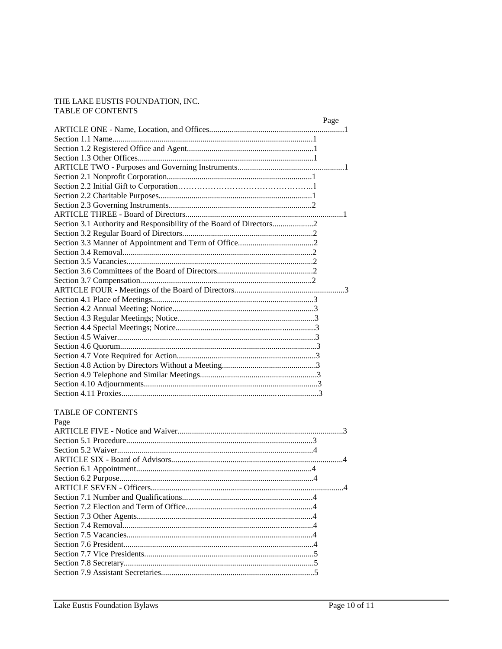# THE LAKE EUSTIS FOUNDATION, INC. TABLE OF CONTENTS

|                                                                     | Page |
|---------------------------------------------------------------------|------|
|                                                                     |      |
|                                                                     |      |
|                                                                     |      |
|                                                                     |      |
|                                                                     |      |
|                                                                     |      |
|                                                                     |      |
|                                                                     |      |
|                                                                     |      |
|                                                                     |      |
| Section 3.1 Authority and Responsibility of the Board of Directors2 |      |
|                                                                     |      |
|                                                                     |      |
|                                                                     |      |
|                                                                     |      |
|                                                                     |      |
|                                                                     |      |
|                                                                     |      |
|                                                                     |      |
|                                                                     |      |
|                                                                     |      |
|                                                                     |      |
|                                                                     |      |
|                                                                     |      |
|                                                                     |      |
|                                                                     |      |
|                                                                     |      |
|                                                                     |      |
|                                                                     |      |
|                                                                     |      |

# TABLE OF CONTENTS

| Page |  |
|------|--|
|      |  |
|      |  |
|      |  |
|      |  |
|      |  |
|      |  |
|      |  |
|      |  |
|      |  |
|      |  |
|      |  |
|      |  |
|      |  |
|      |  |
|      |  |
|      |  |
|      |  |